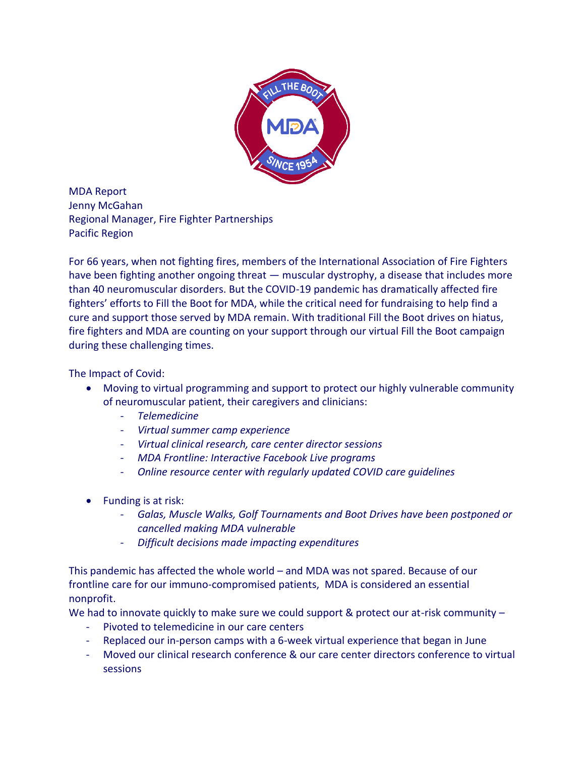

MDA Report Jenny McGahan Regional Manager, Fire Fighter Partnerships Pacific Region

For 66 years, when not fighting fires, members of the International Association of Fire Fighters have been fighting another ongoing threat — muscular dystrophy, a disease that includes more than 40 neuromuscular disorders. But the COVID-19 pandemic has dramatically affected fire fighters' efforts to Fill the Boot for MDA, while the critical need for fundraising to help find a cure and support those served by MDA remain. With traditional Fill the Boot drives on hiatus, fire fighters and MDA are counting on your support through our virtual Fill the Boot campaign during these challenging times.

## The Impact of Covid:

- Moving to virtual programming and support to protect our highly vulnerable community of neuromuscular patient, their caregivers and clinicians:
	- *Telemedicine*
	- *Virtual summer camp experience*
	- *Virtual clinical research, care center director sessions*
	- *MDA Frontline: Interactive Facebook Live programs*
	- *Online resource center with regularly updated COVID care guidelines*
- Funding is at risk:
	- *Galas, Muscle Walks, Golf Tournaments and Boot Drives have been postponed or cancelled making MDA vulnerable*
	- *Difficult decisions made impacting expenditures*

This pandemic has affected the whole world – and MDA was not spared. Because of our frontline care for our immuno-compromised patients, MDA is considered an essential nonprofit.

We had to innovate quickly to make sure we could support & protect our at-risk community -

- Pivoted to telemedicine in our care centers
- Replaced our in-person camps with a 6-week virtual experience that began in June
- Moved our clinical research conference & our care center directors conference to virtual sessions